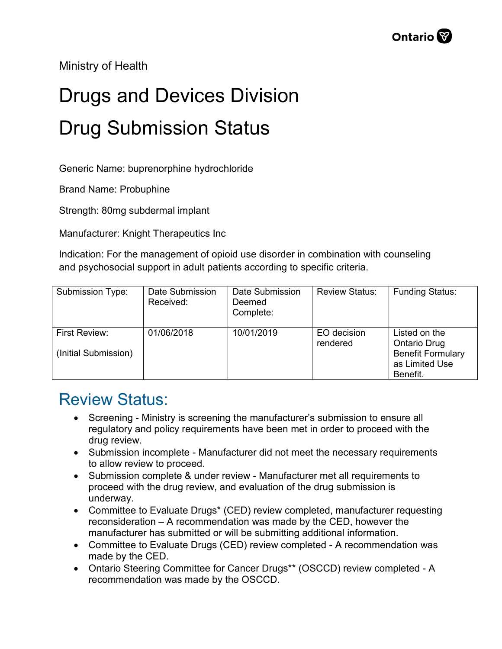Ministry of Health

## Drugs and Devices Division Drug Submission Status

Generic Name: buprenorphine hydrochloride

Brand Name: Probuphine

Strength: 80mg subdermal implant

Manufacturer: Knight Therapeutics Inc

Indication: For the management of opioid use disorder in combination with counseling and psychosocial support in adult patients according to specific criteria.

| Submission Type:                             | Date Submission<br>Received: | Date Submission<br>Deemed<br>Complete: | <b>Review Status:</b>   | <b>Funding Status:</b>                                                                         |
|----------------------------------------------|------------------------------|----------------------------------------|-------------------------|------------------------------------------------------------------------------------------------|
| <b>First Review:</b><br>(Initial Submission) | 01/06/2018                   | 10/01/2019                             | EO decision<br>rendered | Listed on the<br><b>Ontario Drug</b><br><b>Benefit Formulary</b><br>as Limited Use<br>Benefit. |

## Review Status:

- Screening Ministry is screening the manufacturer's submission to ensure all regulatory and policy requirements have been met in order to proceed with the drug review.
- Submission incomplete Manufacturer did not meet the necessary requirements to allow review to proceed.
- Submission complete & under review Manufacturer met all requirements to proceed with the drug review, and evaluation of the drug submission is underway.
- Committee to Evaluate Drugs\* (CED) review completed, manufacturer requesting reconsideration – A recommendation was made by the CED, however the manufacturer has submitted or will be submitting additional information.
- Committee to Evaluate Drugs (CED) review completed A recommendation was made by the CED.
- Ontario Steering Committee for Cancer Drugs\*\* (OSCCD) review completed A recommendation was made by the OSCCD.